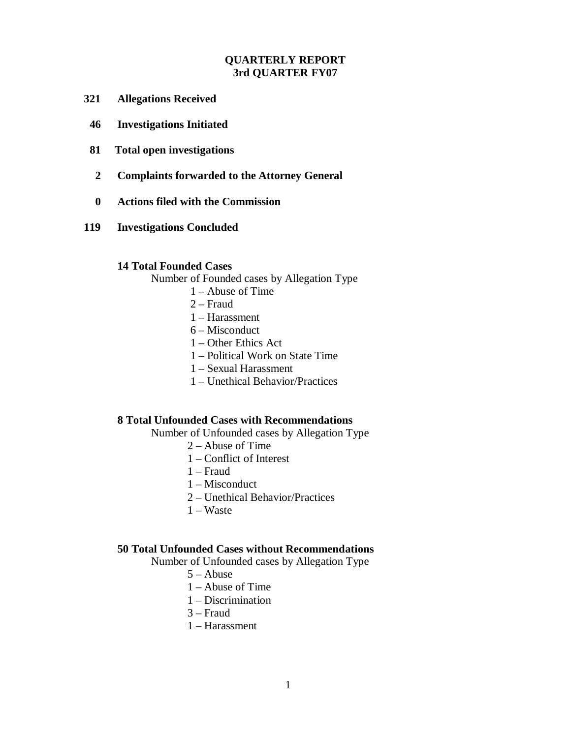# **QUARTERLY REPORT 3rd QUARTER FY07**

- **321 Allegations Received**
- **46 Investigations Initiated**
- **81 Total open investigations**
- **2 Complaints forwarded to the Attorney General**
- **0 Actions filed with the Commission**
- **119 Investigations Concluded**

#### **14 Total Founded Cases**

Number of Founded cases by Allegation Type

- 1 Abuse of Time
- 2 Fraud
- 1 Harassment
- 6 Misconduct
- 1 Other Ethics Act
- 1 Political Work on State Time
- 1 Sexual Harassment
- 1 Unethical Behavior/Practices

# **8 Total Unfounded Cases with Recommendations**

Number of Unfounded cases by Allegation Type

- 2 Abuse of Time
- 1 Conflict of Interest
- 1 Fraud
- 1 Misconduct
- 2 Unethical Behavior/Practices
- 1 Waste

## **50 Total Unfounded Cases without Recommendations**

Number of Unfounded cases by Allegation Type

- 5 Abuse
- 1 Abuse of Time
- 1 Discrimination
- 3 Fraud
- 1 Harassment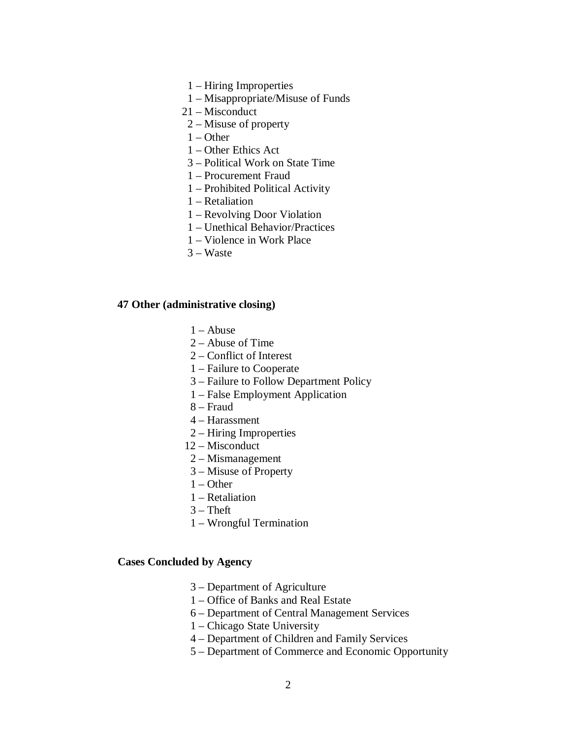- 1 Hiring Improperties
- 1 Misappropriate/Misuse of Funds
- 21 Misconduct
- 2 Misuse of property
- $1 -$ Other
- 1 Other Ethics Act
- 3 Political Work on State Time
- 1 Procurement Fraud
- 1 Prohibited Political Activity
- 1 Retaliation
- 1 Revolving Door Violation
- 1 Unethical Behavior/Practices
- 1 Violence in Work Place
- 3 Waste

### **47 Other (administrative closing)**

- $1 -$ Abuse
- 2 Abuse of Time
- 2 Conflict of Interest
- 1 Failure to Cooperate
- 3 Failure to Follow Department Policy
- 1 False Employment Application
- 8 Fraud
- 4 Harassment
- 2 Hiring Improperties
- 12 Misconduct
- 2 Mismanagement
- 3 Misuse of Property
- $1 -$ Other
- 1 Retaliation
- $3$  Theft
- 1 Wrongful Termination

### **Cases Concluded by Agency**

- 3 Department of Agriculture
- 1 Office of Banks and Real Estate
- 6 Department of Central Management Services
- 1 Chicago State University
- 4 Department of Children and Family Services
- 5 Department of Commerce and Economic Opportunity